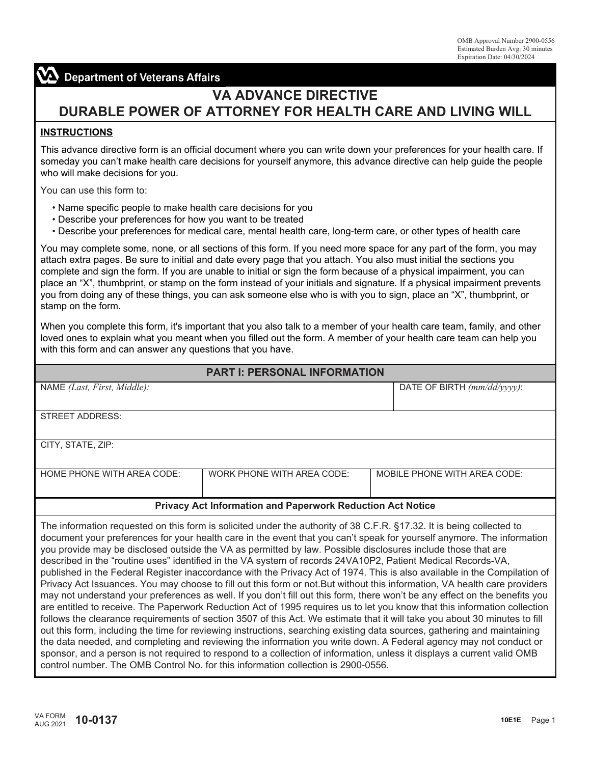# **Department of Veterans Affairs**

# **VA ADVANCE DIRECTIVE DURABLE POWER OF ATTORNEY FOR HEALTH CARE AND LIVING WILL**

#### **INSTRUCTIONS**

This advance directive form is an official document where you can write down your preferences for your health care. If someday you can't make health care decisions for yourself anymore, this advance directive can help guide the people who will make decisions for you.

You can use this form to:

- Name specific people to make health care decisions for you
- Describe your preferences for how you want to be treated
- Describe your preferences for medical care, mental health care, long-term care, or other types of health care

You may complete some, none, or all sections of this form. If you need more space for any part of the form, you may attach extra pages. Be sure to initial and date every page that you attach. You also must initial the sections you complete and sign the form. If you are unable to initial or sign the form because of a physical impairment, you can place an "X", thumbprint, or stamp on the form instead of your initials and signature. If a physical impairment prevents you from doing any of these things, you can ask someone else who is with you to sign, place an "X", thumbprint, or stamp on the form.

When you complete this form, it's important that you also talk to a member of your health care team, family, and other loved ones to explain what you meant when you filled out the form. A member of your health care team can help you with this form and can answer any questions that you have.

| <b>PART I: PERSONAL INFORMATION</b>                                                                                                                                                                                                                                                                                                                                                                                                                                                                                                                                                                                                                                                                                                         |                            |                                |  |
|---------------------------------------------------------------------------------------------------------------------------------------------------------------------------------------------------------------------------------------------------------------------------------------------------------------------------------------------------------------------------------------------------------------------------------------------------------------------------------------------------------------------------------------------------------------------------------------------------------------------------------------------------------------------------------------------------------------------------------------------|----------------------------|--------------------------------|--|
| NAME (Last, First, Middle):                                                                                                                                                                                                                                                                                                                                                                                                                                                                                                                                                                                                                                                                                                                 |                            | DATE OF BIRTH $(mm/dd/yyyy)$ : |  |
| <b>STREET ADDRESS:</b>                                                                                                                                                                                                                                                                                                                                                                                                                                                                                                                                                                                                                                                                                                                      |                            |                                |  |
| CITY, STATE, ZIP:                                                                                                                                                                                                                                                                                                                                                                                                                                                                                                                                                                                                                                                                                                                           |                            |                                |  |
| HOME PHONE WITH AREA CODE:                                                                                                                                                                                                                                                                                                                                                                                                                                                                                                                                                                                                                                                                                                                  | WORK PHONE WITH AREA CODE: | MOBILE PHONE WITH AREA CODE:   |  |
| <b>Privacy Act Information and Paperwork Reduction Act Notice</b>                                                                                                                                                                                                                                                                                                                                                                                                                                                                                                                                                                                                                                                                           |                            |                                |  |
| The information requested on this form is solicited under the authority of 38 C.F.R. §17.32. It is being collected to<br>document your preferences for your health care in the event that you can't speak for yourself anymore. The information<br>you provide may be disclosed outside the VA as permitted by law. Possible disclosures include those that are<br>described in the "routine uses" identified in the VA system of records 24VA10P2, Patient Medical Records-VA,<br>published in the Federal Register inaccordance with the Privacy Act of 1974. This is also available in the Compilation of<br>Philippine And the common Vermich and the Community Community Protection in the Life Community VA the Hill and constitution |                            |                                |  |

Privacy Act Issuances. You may choose to fill out this form or not.But without this information, VA health care providers may not understand your preferences as well. If you don't fill out this form, there won't be any effect on the benefits you are entitled to receive. The Paperwork Reduction Act of 1995 requires us to let you know that this information collection follows the clearance requirements of section 3507 of this Act. We estimate that it will take you about 30 minutes to fill out this form, including the time for reviewing instructions, searching existing data sources, gathering and maintaining the data needed, and completing and reviewing the information you write down. A Federal agency may not conduct or sponsor, and a person is not required to respond to a collection of information, unless it displays a current valid OMB control number. The OMB Control No. for this information collection is 2900-0556.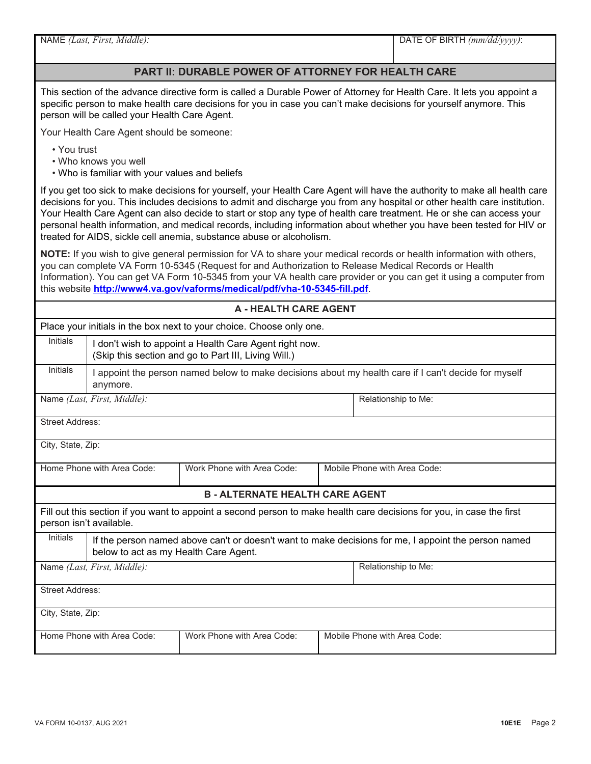|  |  |  | NAME (Last, First, Middle): |
|--|--|--|-----------------------------|
|--|--|--|-----------------------------|

#### **PART II: DURABLE POWER OF ATTORNEY FOR HEALTH CARE**

This section of the advance directive form is called a Durable Power of Attorney for Health Care. It lets you appoint a specific person to make health care decisions for you in case you can't make decisions for yourself anymore. This person will be called your Health Care Agent.

Your Health Care Agent should be someone:

- You trust
- Who knows you well
- Who is familiar with your values and beliefs

If you get too sick to make decisions for yourself, your Health Care Agent will have the authority to make all health care decisions for you. This includes decisions to admit and discharge you from any hospital or other health care institution. Your Health Care Agent can also decide to start or stop any type of health care treatment. He or she can access your personal health information, and medical records, including information about whether you have been tested for HIV or treated for AIDS, sickle cell anemia, substance abuse or alcoholism.

**NOTE:** If you wish to give general permission for VA to share your medical records or health information with others, you can complete VA Form 10-5345 (Request for and Authorization to Release Medical Records or Health Information). You can get VA Form 10-5345 from your VA health care provider or you can get it using a computer from this website **<http://www4.va.gov/vaforms/medical/pdf/vha-10-5345-fill.pdf>**.

| <b>A - HEALTH CARE AGENT</b>                                                                                                                                     |                                                                                                                  |                                                                      |                     |  |
|------------------------------------------------------------------------------------------------------------------------------------------------------------------|------------------------------------------------------------------------------------------------------------------|----------------------------------------------------------------------|---------------------|--|
|                                                                                                                                                                  |                                                                                                                  | Place your initials in the box next to your choice. Choose only one. |                     |  |
| <b>Initials</b>                                                                                                                                                  | I don't wish to appoint a Health Care Agent right now.<br>(Skip this section and go to Part III, Living Will.)   |                                                                      |                     |  |
| <b>Initials</b>                                                                                                                                                  | I appoint the person named below to make decisions about my health care if I can't decide for myself<br>anymore. |                                                                      |                     |  |
|                                                                                                                                                                  | Name (Last, First, Middle):                                                                                      |                                                                      | Relationship to Me: |  |
| <b>Street Address:</b>                                                                                                                                           |                                                                                                                  |                                                                      |                     |  |
| City, State, Zip:                                                                                                                                                |                                                                                                                  |                                                                      |                     |  |
|                                                                                                                                                                  | Home Phone with Area Code:                                                                                       | Work Phone with Area Code:<br>Mobile Phone with Area Code:           |                     |  |
| <b>B - ALTERNATE HEALTH CARE AGENT</b>                                                                                                                           |                                                                                                                  |                                                                      |                     |  |
| Fill out this section if you want to appoint a second person to make health care decisions for you, in case the first<br>person isn't available.                 |                                                                                                                  |                                                                      |                     |  |
| <b>Initials</b><br>If the person named above can't or doesn't want to make decisions for me, I appoint the person named<br>below to act as my Health Care Agent. |                                                                                                                  |                                                                      |                     |  |
| Name (Last, First, Middle):                                                                                                                                      |                                                                                                                  | Relationship to Me:                                                  |                     |  |
| <b>Street Address:</b>                                                                                                                                           |                                                                                                                  |                                                                      |                     |  |
| City, State, Zip:                                                                                                                                                |                                                                                                                  |                                                                      |                     |  |
|                                                                                                                                                                  | Home Phone with Area Code:<br>Work Phone with Area Code:<br>Mobile Phone with Area Code:                         |                                                                      |                     |  |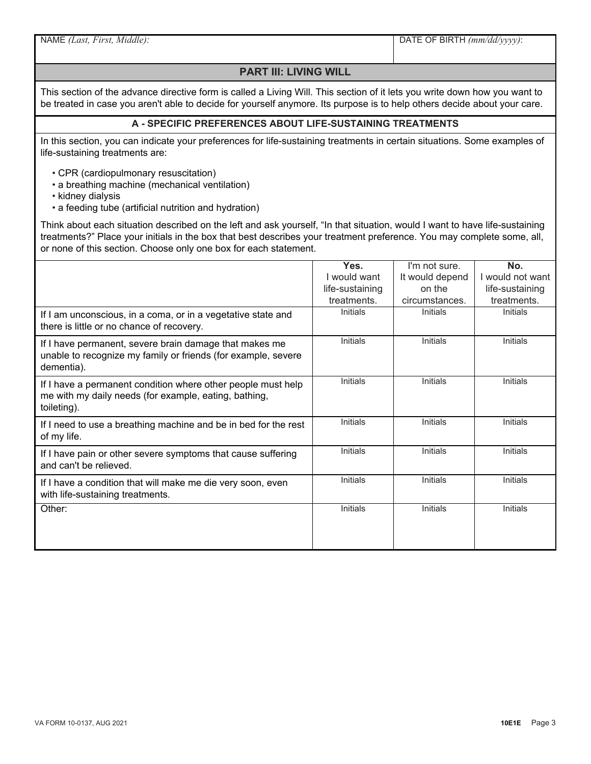NAME *(Last, First, Middle):*

DATE OF BIRTH *(mm/dd/yyyy)*:

### **PART III: LIVING WILL**

This section of the advance directive form is called a Living Will. This section of it lets you write down how you want to be treated in case you aren't able to decide for yourself anymore. Its purpose is to help others decide about your care.

#### **A - SPECIFIC PREFERENCES ABOUT LIFE-SUSTAINING TREATMENTS**

In this section, you can indicate your preferences for life-sustaining treatments in certain situations. Some examples of life-sustaining treatments are:

- CPR (cardiopulmonary resuscitation)
- a breathing machine (mechanical ventilation)
- kidney dialysis
- a feeding tube (artificial nutrition and hydration)

Think about each situation described on the left and ask yourself, "In that situation, would I want to have life-sustaining treatments?" Place your initials in the box that best describes your treatment preference. You may complete some, all, or none of this section. Choose only one box for each statement.

|                                                                                                                                       | Yes.            | I'm not sure.   | No.              |
|---------------------------------------------------------------------------------------------------------------------------------------|-----------------|-----------------|------------------|
|                                                                                                                                       | I would want    | It would depend | I would not want |
|                                                                                                                                       | life-sustaining | on the          | life-sustaining  |
|                                                                                                                                       | treatments.     | circumstances.  | treatments.      |
| If I am unconscious, in a coma, or in a vegetative state and<br>there is little or no chance of recovery.                             | Initials        | Initials        | Initials         |
| If I have permanent, severe brain damage that makes me<br>unable to recognize my family or friends (for example, severe<br>dementia). | Initials        | Initials        | <b>Initials</b>  |
| If I have a permanent condition where other people must help<br>me with my daily needs (for example, eating, bathing,<br>toileting).  | Initials        | Initials        | Initials         |
| If I need to use a breathing machine and be in bed for the rest<br>of my life.                                                        | Initials        | Initials        | Initials         |
| If I have pain or other severe symptoms that cause suffering<br>and can't be relieved.                                                | Initials        | Initials        | Initials         |
| If I have a condition that will make me die very soon, even<br>with life-sustaining treatments.                                       | <b>Initials</b> | <b>Initials</b> | <b>Initials</b>  |
| Other:                                                                                                                                | Initials        | Initials        | Initials         |
|                                                                                                                                       |                 |                 |                  |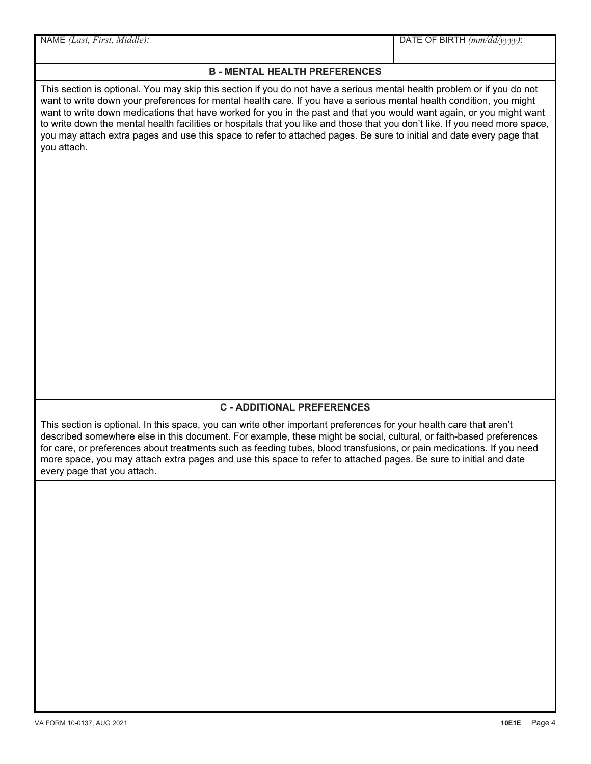**B - MENTAL HEALTH PREFERENCES** This section is optional. You may skip this section if you do not have a serious mental health problem or if you do not want to write down your preferences for mental health care. If you have a serious mental health condition, you might want to write down medications that have worked for you in the past and that you would want again, or you might want to write down the mental health facilities or hospitals that you like and those that you don't like. If you need more space, you may attach extra pages and use this space to refer to attached pages. Be sure to initial and date every page that you attach. NAME *(Last, First, Middle):* DATE OF BIRTH *(mm/dd/yyyy)*:

## **C - ADDITIONAL PREFERENCES**

This section is optional. In this space, you can write other important preferences for your health care that aren't described somewhere else in this document. For example, these might be social, cultural, or faith-based preferences for care, or preferences about treatments such as feeding tubes, blood transfusions, or pain medications. If you need more space, you may attach extra pages and use this space to refer to attached pages. Be sure to initial and date every page that you attach.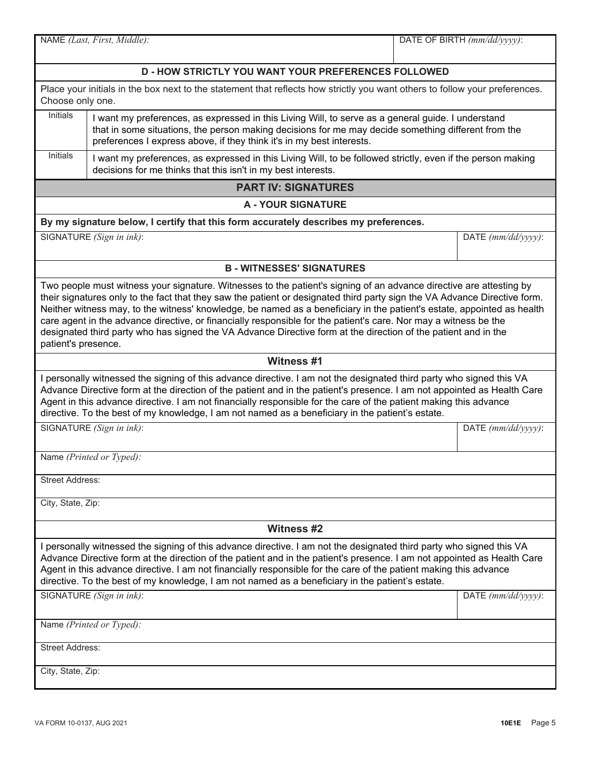|                                                                                                                                                                                                                                                                                                                                                                                                                                                                                                                                                                                                                                         | NAME (Last, First, Middle):                                                                                                                                                                                                                                                        | DATE OF BIRTH (mm/dd/yyyy): |  |
|-----------------------------------------------------------------------------------------------------------------------------------------------------------------------------------------------------------------------------------------------------------------------------------------------------------------------------------------------------------------------------------------------------------------------------------------------------------------------------------------------------------------------------------------------------------------------------------------------------------------------------------------|------------------------------------------------------------------------------------------------------------------------------------------------------------------------------------------------------------------------------------------------------------------------------------|-----------------------------|--|
|                                                                                                                                                                                                                                                                                                                                                                                                                                                                                                                                                                                                                                         | <b>D-HOW STRICTLY YOU WANT YOUR PREFERENCES FOLLOWED</b>                                                                                                                                                                                                                           |                             |  |
| Place your initials in the box next to the statement that reflects how strictly you want others to follow your preferences.<br>Choose only one.                                                                                                                                                                                                                                                                                                                                                                                                                                                                                         |                                                                                                                                                                                                                                                                                    |                             |  |
| Initials                                                                                                                                                                                                                                                                                                                                                                                                                                                                                                                                                                                                                                | I want my preferences, as expressed in this Living Will, to serve as a general guide. I understand<br>that in some situations, the person making decisions for me may decide something different from the<br>preferences I express above, if they think it's in my best interests. |                             |  |
| <b>Initials</b>                                                                                                                                                                                                                                                                                                                                                                                                                                                                                                                                                                                                                         | I want my preferences, as expressed in this Living Will, to be followed strictly, even if the person making<br>decisions for me thinks that this isn't in my best interests.                                                                                                       |                             |  |
|                                                                                                                                                                                                                                                                                                                                                                                                                                                                                                                                                                                                                                         | <b>PART IV: SIGNATURES</b>                                                                                                                                                                                                                                                         |                             |  |
|                                                                                                                                                                                                                                                                                                                                                                                                                                                                                                                                                                                                                                         | <b>A - YOUR SIGNATURE</b>                                                                                                                                                                                                                                                          |                             |  |
|                                                                                                                                                                                                                                                                                                                                                                                                                                                                                                                                                                                                                                         | By my signature below, I certify that this form accurately describes my preferences.                                                                                                                                                                                               |                             |  |
|                                                                                                                                                                                                                                                                                                                                                                                                                                                                                                                                                                                                                                         | SIGNATURE (Sign in ink):                                                                                                                                                                                                                                                           | DATE $(mm/dd/yyyy)$ :       |  |
|                                                                                                                                                                                                                                                                                                                                                                                                                                                                                                                                                                                                                                         | <b>B - WITNESSES' SIGNATURES</b>                                                                                                                                                                                                                                                   |                             |  |
| Two people must witness your signature. Witnesses to the patient's signing of an advance directive are attesting by<br>their signatures only to the fact that they saw the patient or designated third party sign the VA Advance Directive form.<br>Neither witness may, to the witness' knowledge, be named as a beneficiary in the patient's estate, appointed as health<br>care agent in the advance directive, or financially responsible for the patient's care. Nor may a witness be the<br>designated third party who has signed the VA Advance Directive form at the direction of the patient and in the<br>patient's presence. |                                                                                                                                                                                                                                                                                    |                             |  |
|                                                                                                                                                                                                                                                                                                                                                                                                                                                                                                                                                                                                                                         | Witness #1                                                                                                                                                                                                                                                                         |                             |  |
| I personally witnessed the signing of this advance directive. I am not the designated third party who signed this VA<br>Advance Directive form at the direction of the patient and in the patient's presence. I am not appointed as Health Care<br>Agent in this advance directive. I am not financially responsible for the care of the patient making this advance<br>directive. To the best of my knowledge, I am not named as a beneficiary in the patient's estate.                                                                                                                                                                |                                                                                                                                                                                                                                                                                    |                             |  |
| SIGNATURE (Sign in ink):                                                                                                                                                                                                                                                                                                                                                                                                                                                                                                                                                                                                                |                                                                                                                                                                                                                                                                                    | DATE $(mm/dd/yyyy)$ :       |  |
| Name (Printed or Typed):                                                                                                                                                                                                                                                                                                                                                                                                                                                                                                                                                                                                                |                                                                                                                                                                                                                                                                                    |                             |  |
| <b>Street Address:</b>                                                                                                                                                                                                                                                                                                                                                                                                                                                                                                                                                                                                                  |                                                                                                                                                                                                                                                                                    |                             |  |
| City, State, Zip:                                                                                                                                                                                                                                                                                                                                                                                                                                                                                                                                                                                                                       |                                                                                                                                                                                                                                                                                    |                             |  |
| <b>Witness #2</b>                                                                                                                                                                                                                                                                                                                                                                                                                                                                                                                                                                                                                       |                                                                                                                                                                                                                                                                                    |                             |  |
| I personally witnessed the signing of this advance directive. I am not the designated third party who signed this VA<br>Advance Directive form at the direction of the patient and in the patient's presence. I am not appointed as Health Care<br>Agent in this advance directive. I am not financially responsible for the care of the patient making this advance<br>directive. To the best of my knowledge, I am not named as a beneficiary in the patient's estate.                                                                                                                                                                |                                                                                                                                                                                                                                                                                    |                             |  |
|                                                                                                                                                                                                                                                                                                                                                                                                                                                                                                                                                                                                                                         | SIGNATURE (Sign in ink):                                                                                                                                                                                                                                                           | DATE $(mm/dd/yyyy)$ :       |  |
|                                                                                                                                                                                                                                                                                                                                                                                                                                                                                                                                                                                                                                         | Name (Printed or Typed):                                                                                                                                                                                                                                                           |                             |  |
| <b>Street Address:</b>                                                                                                                                                                                                                                                                                                                                                                                                                                                                                                                                                                                                                  |                                                                                                                                                                                                                                                                                    |                             |  |
| City, State, Zip:                                                                                                                                                                                                                                                                                                                                                                                                                                                                                                                                                                                                                       |                                                                                                                                                                                                                                                                                    |                             |  |